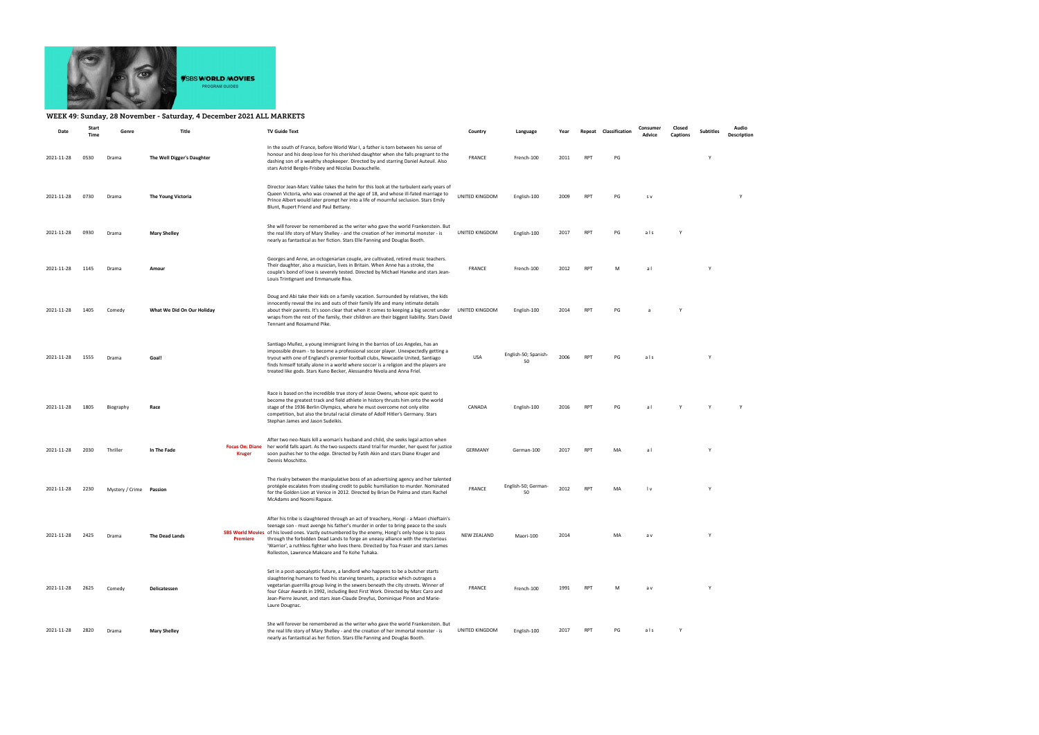

## WEEK 49: Sunday, 28 November - Saturday, 4 December 2021 ALL MARKETS

| Date       | Start<br>Time | Genre                   | Title                      |                                         | <b>TV Guide Text</b>                                                                                                                                                                                                                                                                                                                                                                                                                                                                                               | Country            | Language                   | Year | Repeat     | Classification | Consumer<br>Advice | Closed<br>Captions | <b>Subtitles</b> | Audio<br>Description |
|------------|---------------|-------------------------|----------------------------|-----------------------------------------|--------------------------------------------------------------------------------------------------------------------------------------------------------------------------------------------------------------------------------------------------------------------------------------------------------------------------------------------------------------------------------------------------------------------------------------------------------------------------------------------------------------------|--------------------|----------------------------|------|------------|----------------|--------------------|--------------------|------------------|----------------------|
| 2021-11-28 | 0530          | Drama                   | The Well Digger's Daughter |                                         | In the south of France, before World War I, a father is torn between his sense of<br>honour and his deep love for his cherished daughter when she falls pregnant to the<br>dashing son of a wealthy shopkeeper. Directed by and starring Daniel Auteuil. Also<br>stars Astrid Bergès-Frisbey and Nicolas Duvauchelle.                                                                                                                                                                                              | <b>FRANCE</b>      | French-100                 | 2011 | <b>RPT</b> | PG             |                    |                    |                  |                      |
| 2021-11-28 | 0730          | Drama                   | The Young Victoria         |                                         | Director Jean-Marc Vallée takes the helm for this look at the turbulent early years of<br>Queen Victoria, who was crowned at the age of 18, and whose ill-fated marriage to<br>Prince Albert would later prompt her into a life of mournful seclusion. Stars Emily<br>Blunt, Rupert Friend and Paul Bettany.                                                                                                                                                                                                       | UNITED KINGDOM     | English-100                | 2009 | <b>RPT</b> | PG             | s v                |                    |                  | Υ                    |
| 2021-11-28 | 0930          | Drama                   | <b>Mary Shelley</b>        |                                         | She will forever be remembered as the writer who gave the world Frankenstein. But<br>the real life story of Mary Shelley - and the creation of her immortal monster - is<br>nearly as fantastical as her fiction. Stars Elle Fanning and Douglas Booth.                                                                                                                                                                                                                                                            | UNITED KINGDOM     | English-100                | 2017 | <b>RPT</b> | PG             | als                |                    |                  |                      |
| 2021-11-28 | 1145          | Drama                   | Amour                      |                                         | Georges and Anne, an octogenarian couple, are cultivated, retired music teachers.<br>Their daughter, also a musician, lives in Britain. When Anne has a stroke, the<br>couple's bond of love is severely tested. Directed by Michael Haneke and stars Jean-<br>Louis Trintignant and Emmanuele Riva.                                                                                                                                                                                                               | FRANCE             | French-100                 | 2012 | <b>RPT</b> | M              | al                 |                    | Y                |                      |
| 2021-11-28 | 1405          | Comedy                  | What We Did On Our Holiday |                                         | Doug and Abi take their kids on a family vacation. Surrounded by relatives, the kids<br>innocently reveal the ins and outs of their family life and many intimate details<br>about their parents. It's soon clear that when it comes to keeping a big secret under<br>wraps from the rest of the family, their children are their biggest liability. Stars David<br>Tennant and Rosamund Pike.                                                                                                                     | UNITED KINGDOM     | English-100                | 2014 | <b>RPT</b> | PG             | $\overline{a}$     | Y                  |                  |                      |
| 2021-11-28 | 1555          | Drama                   | Goal!                      |                                         | Santiago Muñez, a young immigrant living in the barrios of Los Angeles, has an<br>impossible dream - to become a professional soccer player. Unexpectedly getting a<br>tryout with one of England's premier football clubs, Newcastle United, Santiago<br>finds himself totally alone in a world where soccer is a religion and the players are<br>treated like gods. Stars Kuno Becker, Alessandro Nivola and Anna Friel.                                                                                         | <b>USA</b>         | English-50; Spanish-<br>50 | 2006 | <b>RPT</b> | PG             | als                |                    | Y                |                      |
| 2021-11-28 | 1805          | Biography               | Race                       |                                         | Race is based on the incredible true story of Jesse Owens, whose epic quest to<br>become the greatest track and field athlete in history thrusts him onto the world<br>stage of the 1936 Berlin Olympics, where he must overcome not only elite<br>competition, but also the brutal racial climate of Adolf Hitler's Germany. Stars<br>Stephan James and Jason Sudeikis.                                                                                                                                           | CANADA             | English-100                | 2016 | <b>RPT</b> | PG             | a l                |                    |                  |                      |
| 2021-11-28 | 2030          | Thriller                | In The Fade                | <b>Focus On: Diane</b><br><b>Kruger</b> | After two neo-Nazis kill a woman's husband and child, she seeks legal action when<br>her world falls apart. As the two suspects stand trial for murder, her quest for justice<br>soon pushes her to the edge. Directed by Fatih Akin and stars Diane Kruger and<br>Dennis Moschitto.                                                                                                                                                                                                                               | GERMANY            | German-100                 | 2017 | <b>RPT</b> | MA             | al                 |                    | Y                |                      |
| 2021-11-28 | 2230          | Mystery / Crime Passion |                            |                                         | The rivalry between the manipulative boss of an advertising agency and her talented<br>protégée escalates from stealing credit to public humiliation to murder. Nominated<br>for the Golden Lion at Venice in 2012. Directed by Brian De Palma and stars Rachel<br>McAdams and Noomi Rapace.                                                                                                                                                                                                                       | <b>FRANCE</b>      | English-50; German-<br>50  | 2012 | <b>RPT</b> | MA             | l v                |                    | Y                |                      |
| 2021-11-28 | 2425          | Drama                   | The Dead Lands             | Premiere                                | After his tribe is slaughtered through an act of treachery, Hongi - a Maori chieftain's<br>teenage son - must avenge his father's murder in order to bring peace to the souls<br>SBS World Movies of his loved ones. Vastly outnumbered by the enemy, Hongi's only hope is to pass<br>through the forbidden Dead Lands to forge an uneasy alliance with the mysterious<br>'Warrior', a ruthless fighter who lives there. Directed by Toa Fraser and stars James<br>Rolleston, Lawrence Makoare and Te Kohe Tuhaka. | <b>NEW ZEALAND</b> | Maori-100                  | 2014 |            | MA             | a v                |                    | Y                |                      |
| 2021-11-28 | 2625          | Comedy                  | Delicatessen               |                                         | Set in a post-apocalyptic future, a landlord who happens to be a butcher starts<br>slaughtering humans to feed his starving tenants, a practice which outrages a<br>vegetarian guerrilla group living in the sewers beneath the city streets. Winner of<br>four César Awards in 1992, including Best First Work. Directed by Marc Caro and<br>Jean-Pierre Jeunet, and stars Jean-Claude Dreyfus, Dominique Pinon and Marie-<br>Laure Dougnac.                                                                      | <b>FRANCE</b>      | French-100                 | 1991 | <b>RPT</b> | M              | a v                |                    | Y                |                      |
| 2021-11-28 | 2820          | Drama                   | <b>Mary Shelley</b>        |                                         | She will forever be remembered as the writer who gave the world Frankenstein. But<br>the real life story of Mary Shelley - and the creation of her immortal monster - is<br>nearly as fantastical as her fiction. Stars Elle Fanning and Douglas Booth.                                                                                                                                                                                                                                                            | UNITED KINGDOM     | English-100                | 2017 | <b>RPT</b> | PG             | als                | Y                  |                  |                      |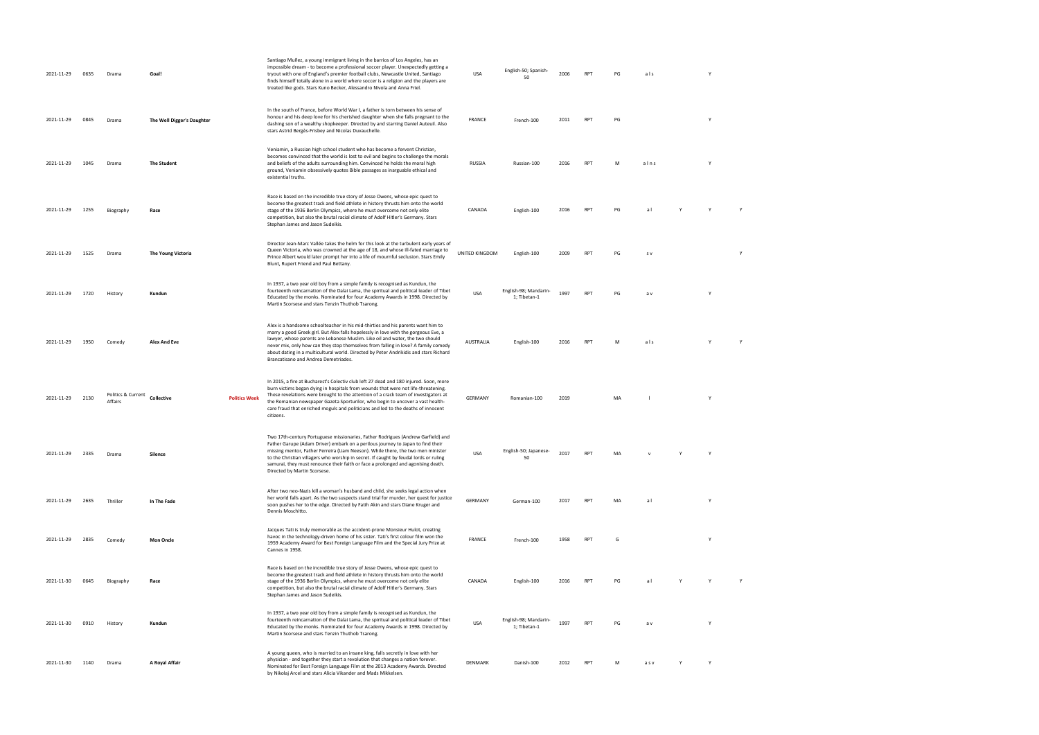| 2021-11-29 | 0635 | Drama                         | Goal!                      |                      | Santiago Muñez, a young immigrant living in the barrios of Los Angeles, has an<br>impossible dream - to become a professional soccer player. Unexpectedly getting a<br>tryout with one of England's premier football clubs, Newcastle United, Santiago<br>finds himself totally alone in a world where soccer is a religion and the players are<br>treated like gods. Stars Kuno Becker, Alessandro Nivola and Anna Friel.                                                      | <b>USA</b>     | English-50; Spanish-<br>50            | 2006 | <b>RPT</b> | PG | als  |   | Y |  |
|------------|------|-------------------------------|----------------------------|----------------------|---------------------------------------------------------------------------------------------------------------------------------------------------------------------------------------------------------------------------------------------------------------------------------------------------------------------------------------------------------------------------------------------------------------------------------------------------------------------------------|----------------|---------------------------------------|------|------------|----|------|---|---|--|
| 2021-11-29 | 0845 | Drama                         | The Well Digger's Daughter |                      | In the south of France, before World War I, a father is torn between his sense of<br>honour and his deep love for his cherished daughter when she falls pregnant to the<br>dashing son of a wealthy shopkeeper. Directed by and starring Daniel Auteuil. Also<br>stars Astrid Bergès-Frisbey and Nicolas Duvauchelle.                                                                                                                                                           | FRANCE         | French-100                            | 2011 | <b>RPT</b> | PG |      |   | Y |  |
| 2021-11-29 | 1045 | Drama                         | <b>The Student</b>         |                      | Veniamin, a Russian high school student who has become a fervent Christian,<br>becomes convinced that the world is lost to evil and begins to challenge the morals<br>and beliefs of the adults surrounding him. Convinced he holds the moral high<br>ground, Veniamin obsessively quotes Bible passages as inarguable ethical and<br>existential truths.                                                                                                                       | RUSSIA         | Russian-100                           | 2016 | RPT        | M  | alns |   | Y |  |
| 2021-11-29 | 1255 | Biography                     | Race                       |                      | Race is based on the incredible true story of Jesse Owens, whose epic quest to<br>become the greatest track and field athlete in history thrusts him onto the world<br>stage of the 1936 Berlin Olympics, where he must overcome not only elite<br>competition, but also the brutal racial climate of Adolf Hitler's Germany. Stars<br>Stephan James and Jason Sudeikis.                                                                                                        | CANADA         | English-100                           | 2016 | RPT        | PG | a l  |   |   |  |
| 2021-11-29 | 1525 | Drama                         | The Young Victoria         |                      | Director Jean-Marc Vallée takes the helm for this look at the turbulent early years of<br>Queen Victoria, who was crowned at the age of 18, and whose ill-fated marriage to<br>Prince Albert would later prompt her into a life of mournful seclusion. Stars Emily<br>Blunt, Rupert Friend and Paul Bettany.                                                                                                                                                                    | UNITED KINGDOM | English-100                           | 2009 | <b>RPT</b> | PG | s v  |   |   |  |
| 2021-11-29 | 1720 | History                       | Kundun                     |                      | In 1937, a two year old boy from a simple family is recognised as Kundun, the<br>fourteenth reincarnation of the Dalai Lama, the spiritual and political leader of Tibet<br>Educated by the monks. Nominated for four Academy Awards in 1998. Directed by<br>Martin Scorsese and stars Tenzin Thuthob Tsarong.                                                                                                                                                                  | <b>USA</b>     | English-98; Mandarin-<br>1; Tibetan-1 | 1997 | <b>RPT</b> | PG | a v  |   | Y |  |
| 2021-11-29 | 1950 | Comedy                        | <b>Alex And Eve</b>        |                      | Alex is a handsome schoolteacher in his mid-thirties and his parents want him to<br>marry a good Greek girl. But Alex falls hopelessly in love with the gorgeous Eve, a<br>lawyer, whose parents are Lebanese Muslim. Like oil and water, the two should<br>never mix, only how can they stop themselves from falling in love? A family comedy<br>about dating in a multicultural world. Directed by Peter Andrikidis and stars Richard<br>Brancatisano and Andrea Demetriades. | AUSTRALIA      | English-100                           | 2016 | <b>RPT</b> | M  | als  |   |   |  |
| 2021-11-29 | 2130 | Politics & Current<br>Affairs | Collective                 | <b>Politics Week</b> | In 2015, a fire at Bucharest's Colectiv club left 27 dead and 180 injured. Soon, more<br>burn victims began dying in hospitals from wounds that were not life-threatening.<br>These revelations were brought to the attention of a crack team of investigators at<br>the Romanian newspaper Gazeta Sporturilor, who begin to uncover a vast health-<br>care fraud that enriched moguls and politicians and led to the deaths of innocent<br>citizens.                           | <b>GERMANY</b> | Romanian-100                          | 2019 |            | MA |      |   | Y |  |
| 2021-11-29 | 2335 | Drama                         | Silence                    |                      | Two 17th-century Portuguese missionaries, Father Rodrigues (Andrew Garfield) and<br>Father Garupe (Adam Driver) embark on a perilous journey to Japan to find their<br>missing mentor, Father Ferreira (Liam Neeson). While there, the two men minister<br>to the Christian villagers who worship in secret. If caught by feudal lords or ruling<br>samurai, they must renounce their faith or face a prolonged and agonising death.<br>Directed by Martin Scorsese.            | USA            | English-50; Japanese-<br>50           | 2017 | RPT        | MA |      | Y | Y |  |
| 2021-11-29 | 2635 | Thriller                      | In The Fade                |                      | After two neo-Nazis kill a woman's husband and child, she seeks legal action when<br>her world falls apart. As the two suspects stand trial for murder, her quest for justice<br>soon pushes her to the edge. Directed by Fatih Akin and stars Diane Kruger and<br>Dennis Moschitto.                                                                                                                                                                                            | <b>GERMANY</b> | German-100                            | 2017 | RPT        | MA | a l  |   | Y |  |
| 2021-11-29 | 2835 | Comedy                        | <b>Mon Oncle</b>           |                      | Jacques Tati is truly memorable as the accident-prone Monsieur Hulot, creating<br>havoc in the technology-driven home of his sister. Tati's first colour film won the<br>1959 Academy Award for Best Foreign Language Film and the Special Jury Prize at<br>Cannes in 1958.                                                                                                                                                                                                     | <b>FRANCE</b>  | French-100                            | 1958 | <b>RPT</b> | G  |      |   | Y |  |
| 2021-11-30 | 0645 | Biography                     | Race                       |                      | Race is based on the incredible true story of Jesse Owens, whose epic quest to<br>become the greatest track and field athlete in history thrusts him onto the world<br>stage of the 1936 Berlin Olympics, where he must overcome not only elite<br>competition, but also the brutal racial climate of Adolf Hitler's Germany. Stars<br>Stephan James and Jason Sudeikis.                                                                                                        | CANADA         | English-100                           | 2016 | <b>RPT</b> | PG | a l  |   | Y |  |
| 2021-11-30 | 0910 | History                       | Kundun                     |                      | In 1937, a two year old boy from a simple family is recognised as Kundun, the<br>fourteenth reincarnation of the Dalai Lama, the spiritual and political leader of Tibet<br>Educated by the monks. Nominated for four Academy Awards in 1998. Directed by<br>Martin Scorsese and stars Tenzin Thuthob Tsarong.                                                                                                                                                                  | <b>USA</b>     | English-98; Mandarin-<br>1; Tibetan-1 | 1997 | <b>RPT</b> | PG | a v  |   | Y |  |
| 2021-11-30 | 1140 | Drama                         | A Royal Affair             |                      | A young queen, who is married to an insane king, falls secretly in love with her<br>physician - and together they start a revolution that changes a nation forever.<br>Nominated for Best Foreign Language Film at the 2013 Academy Awards. Directed<br>by Nikolaj Arcel and stars Alicia Vikander and Mads Mikkelsen.                                                                                                                                                          | DENMARK        | Danish-100                            | 2012 | <b>RPT</b> | M  | asv  |   | Y |  |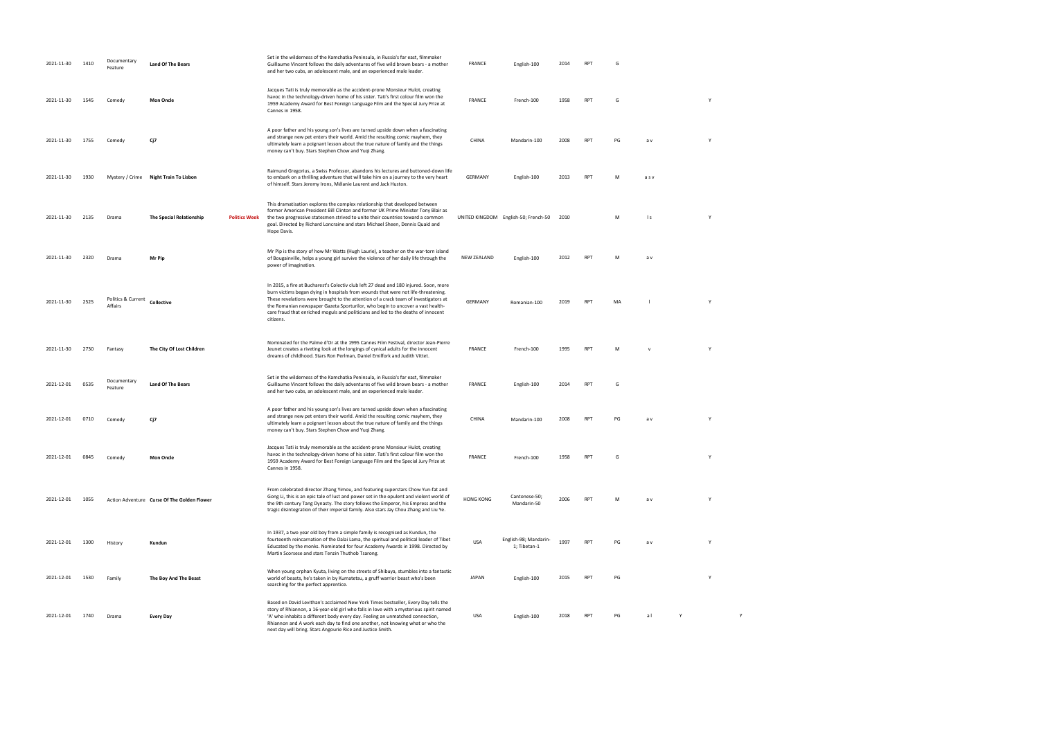| 2021-11-30 | 1410 | Documentary<br>Feature        | <b>Land Of The Bears</b>                    |                      | Set in the wilderness of the Kamchatka Peninsula, in Russia's far east, filmmaker<br>Guillaume Vincent follows the daily adventures of five wild brown bears - a mother<br>and her two cubs, an adolescent male, and an experienced male leader.                                                                                                                                                                                                      | <b>FRANCE</b>      | English-100                               | 2014 |                 |    |          |   |   |
|------------|------|-------------------------------|---------------------------------------------|----------------------|-------------------------------------------------------------------------------------------------------------------------------------------------------------------------------------------------------------------------------------------------------------------------------------------------------------------------------------------------------------------------------------------------------------------------------------------------------|--------------------|-------------------------------------------|------|-----------------|----|----------|---|---|
| 2021-11-30 | 1545 | Comedy                        | <b>Mon Oncle</b>                            |                      | Jacques Tati is truly memorable as the accident-prone Monsieur Hulot, creating<br>havoc in the technology-driven home of his sister. Tati's first colour film won the<br>1959 Academy Award for Best Foreign Language Film and the Special Jury Prize at<br>Cannes in 1958.                                                                                                                                                                           | <b>FRANCE</b>      | French-100                                | 1958 | <b>RPT</b>      | G  |          | Y |   |
| 2021-11-30 | 1755 | Comedy                        | Cj7                                         |                      | A poor father and his young son's lives are turned upside down when a fascinating<br>and strange new pet enters their world. Amid the resulting comic mayhem, they<br>ultimately learn a poignant lesson about the true nature of family and the things<br>money can't buy. Stars Stephen Chow and Yuqi Zhang.                                                                                                                                        | CHINA              | Mandarin-100                              | 2008 | <b>RPT</b>      | PG | a v      | Y |   |
| 2021-11-30 | 1930 |                               | Mystery / Crime Night Train To Lisbon       |                      | Raimund Gregorius, a Swiss Professor, abandons his lectures and buttoned-down life<br>to embark on a thrilling adventure that will take him on a journey to the very heart<br>of himself. Stars Jeremy Irons, Mélanie Laurent and Jack Huston.                                                                                                                                                                                                        | GERMANY            | English-100                               | 2013 | <b>RPT</b>      | M  | asv      |   |   |
| 2021-11-30 | 2135 | Drama                         | The Special Relationship                    | <b>Politics Week</b> | This dramatisation explores the complex relationship that developed between<br>former American President Bill Clinton and former UK Prime Minister Tony Blair as<br>the two progressive statesmen strived to unite their countries toward a common<br>goal. Directed by Richard Loncraine and stars Michael Sheen, Dennis Quaid and<br>Hope Davis.                                                                                                    |                    | UNITED KINGDOM English-50; French-50 2010 |      |                 | M  | l s      | Y |   |
| 2021-11-30 | 2320 | Drama                         | Mr Pip                                      |                      | Mr Pip is the story of how Mr Watts (Hugh Laurie), a teacher on the war-torn island<br>of Bougainville, helps a young girl survive the violence of her daily life through the<br>power of imagination.                                                                                                                                                                                                                                                | <b>NEW ZEALAND</b> | English-100                               | 2012 | <b>RPT</b>      | M  | a v      |   |   |
| 2021-11-30 | 2525 | Politics & Current<br>Affairs | Collective                                  |                      | In 2015, a fire at Bucharest's Colectiv club left 27 dead and 180 injured. Soon, more<br>burn victims began dying in hospitals from wounds that were not life-threatening.<br>These revelations were brought to the attention of a crack team of investigators at<br>the Romanian newspaper Gazeta Sporturilor, who begin to uncover a vast health-<br>care fraud that enriched moguls and politicians and led to the deaths of innocent<br>citizens. | <b>GERMANY</b>     | Romanian-100                              | 2019 | RPT             | MA |          | Y |   |
| 2021-11-30 | 2730 | Fantasy                       | The City Of Lost Children                   |                      | Nominated for the Palme d'Or at the 1995 Cannes Film Festival, director Jean-Pierre<br>Jeunet creates a riveting look at the longings of cynical adults for the innocent<br>dreams of childhood. Stars Ron Perlman, Daniel Emilfork and Judith Vittet.                                                                                                                                                                                                | <b>FRANCE</b>      | French-100                                | 1995 | <b>RPT</b>      | M  | <b>V</b> | Y |   |
| 2021-12-01 | 0535 | Documentary<br>Feature        | <b>Land Of The Bears</b>                    |                      | Set in the wilderness of the Kamchatka Peninsula, in Russia's far east, filmmaker<br>Guillaume Vincent follows the daily adventures of five wild brown bears - a mother<br>and her two cubs, an adolescent male, and an experienced male leader.                                                                                                                                                                                                      | <b>FRANCE</b>      | English-100                               | 2014 | <b>RPT</b>      | G  |          |   |   |
| 2021-12-01 | 0710 | Comedy                        | Cj7                                         |                      | A poor father and his young son's lives are turned upside down when a fascinating<br>and strange new pet enters their world. Amid the resulting comic mayhem, they<br>ultimately learn a poignant lesson about the true nature of family and the things<br>money can't buy. Stars Stephen Chow and Yuqi Zhang.                                                                                                                                        | CHINA              | Mandarin-100                              | 2008 | RP <sub>1</sub> | PG | a v      | Y |   |
| 2021-12-01 | 0845 | Comedy                        | <b>Mon Oncle</b>                            |                      | Jacques Tati is truly memorable as the accident-prone Monsieur Hulot, creating<br>havoc in the technology-driven home of his sister. Tati's first colour film won the<br>1959 Academy Award for Best Foreign Language Film and the Special Jury Prize at<br>Cannes in 1958.                                                                                                                                                                           | FRANCE             | French-100                                | 1958 | RP <sub>1</sub> | G  |          | Y |   |
| 2021-12-01 | 1055 |                               | Action Adventure Curse Of The Golden Flower |                      | From celebrated director Zhang Yimou, and featuring superstars Chow Yun-fat and<br>Gong Li, this is an epic tale of lust and power set in the opulent and violent world of<br>the 9th century Tang Dynasty. The story follows the Emperor, his Empress and the<br>tragic disintegration of their imperial family. Also stars Jay Chou Zhang and Liu Ye.                                                                                               | <b>HONG KONG</b>   | Cantonese-50;<br>Mandarin-50              | 2006 | <b>RPT</b>      | M  | a v      | Y |   |
| 2021-12-01 | 1300 | History                       | Kundun                                      |                      | In 1937, a two year old boy from a simple family is recognised as Kundun, the<br>fourteenth reincarnation of the Dalai Lama, the spiritual and political leader of Tibet<br>Educated by the monks. Nominated for four Academy Awards in 1998. Directed by<br>Martin Scorsese and stars Tenzin Thuthob Tsarong.                                                                                                                                        | <b>USA</b>         | English-98; Mandarin-<br>1; Tibetan-1     | 1997 | <b>RPT</b>      | PG | a v      | Y |   |
| 2021-12-01 | 1530 | Family                        | The Boy And The Beast                       |                      | When young orphan Kyuta, living on the streets of Shibuya, stumbles into a fantastic<br>world of beasts, he's taken in by Kumatetsu, a gruff warrior beast who's been<br>searching for the perfect apprentice.                                                                                                                                                                                                                                        | <b>JAPAN</b>       | English-100                               | 2015 | RPT             | PG |          | Y |   |
| 2021-12-01 | 1740 | Drama                         | <b>Every Day</b>                            |                      | Based on David Levithan's acclaimed New York Times bestseller, Every Day tells the<br>story of Rhiannon, a 16-year-old girl who falls in love with a mysterious spirit named<br>'A' who inhabits a different body every day. Feeling an unmatched connection,<br>Rhiannon and A work each day to find one another, not knowing what or who the<br>next day will bring. Stars Angourie Rice and Justice Smith.                                         | USA                | English-100                               | 2018 | <b>RPT</b>      | PG | al       |   | Y |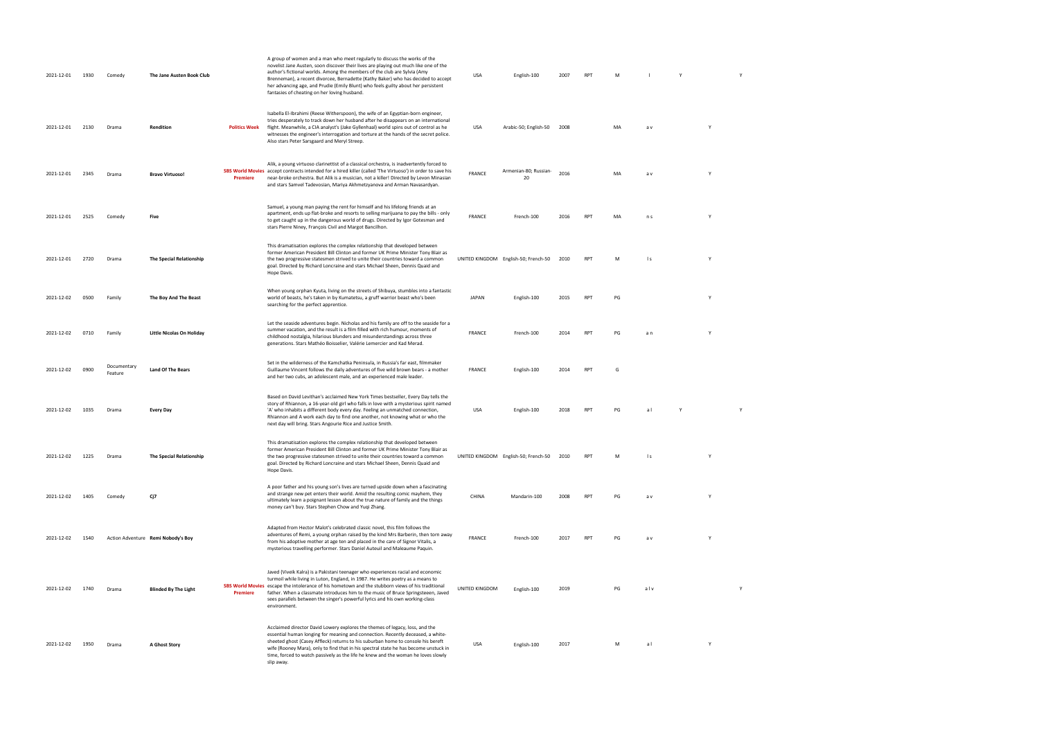| 2021-12-01 | 1930 | Comedy                 | The Jane Austen Book Club          |                      | A group of women and a man who meet regularly to discuss the works of the<br>novelist Jane Austen, soon discover their lives are playing out much like one of the<br>author's fictional worlds. Among the members of the club are Sylvia (Amy<br>Brenneman), a recent divorcee, Bernadette (Kathy Baker) who has decided to accept<br>her advancing age, and Prudie (Emily Blunt) who feels guilty about her persistent<br>fantasies of cheating on her loving husband. | USA            | English-100                          | 2007 | <b>RPT</b> | M  |           |   |   |   |  |
|------------|------|------------------------|------------------------------------|----------------------|-------------------------------------------------------------------------------------------------------------------------------------------------------------------------------------------------------------------------------------------------------------------------------------------------------------------------------------------------------------------------------------------------------------------------------------------------------------------------|----------------|--------------------------------------|------|------------|----|-----------|---|---|---|--|
| 2021-12-01 | 2130 | Drama                  | Rendition                          | <b>Politics Week</b> | Isabella El-Ibrahimi (Reese Witherspoon), the wife of an Egyptian-born engineer,<br>tries desperately to track down her husband after he disappears on an international<br>flight. Meanwhile, a CIA analyst's (Jake Gyllenhaal) world spins out of control as he<br>witnesses the engineer's interrogation and torture at the hands of the secret police.<br>Also stars Peter Sarsgaard and Meryl Streep.                                                               | USA            | Arabic-50; English-50 2008           |      |            | MA | a v       |   | Y |   |  |
| 2021-12-01 | 2345 | Drama                  | <b>Bravo Virtuoso!</b>             | Premiere             | Alik, a young virtuoso clarinettist of a classical orchestra, is inadvertently forced to<br>SBS World Movies accept contracts intended for a hired killer (called 'The Virtuoso') in order to save his<br>near-broke orchestra. But Alik is a musician, not a killer! Directed by Levon Minasian<br>and stars Samvel Tadevosian, Mariya Akhmetzyanova and Arman Navasardyan.                                                                                            | <b>FRANCE</b>  | Armenian-80; Russian-<br>20          | 2016 |            | MA | a v       |   | Y |   |  |
| 2021-12-01 | 2525 | Comedy                 | Five                               |                      | Samuel, a young man paying the rent for himself and his lifelong friends at an<br>apartment, ends up flat-broke and resorts to selling marijuana to pay the bills - only<br>to get caught up in the dangerous world of drugs. Directed by Igor Gotesman and<br>stars Pierre Niney, François Civil and Margot Bancilhon.                                                                                                                                                 | <b>FRANCE</b>  | French-100                           | 2016 | <b>RPT</b> | MA | n s       |   | Y |   |  |
| 2021-12-01 | 2720 | Drama                  | The Special Relationship           |                      | This dramatisation explores the complex relationship that developed between<br>former American President Bill Clinton and former UK Prime Minister Tony Blair as<br>the two progressive statesmen strived to unite their countries toward a common<br>goal. Directed by Richard Loncraine and stars Michael Sheen, Dennis Quaid and<br>Hope Davis.                                                                                                                      |                | UNITED KINGDOM English-50; French-50 | 2010 | RPT        | M  | $\vert$ s |   | Y |   |  |
| 2021-12-02 | 0500 | Family                 | The Boy And The Beast              |                      | When young orphan Kyuta, living on the streets of Shibuya, stumbles into a fantastic<br>world of beasts, he's taken in by Kumatetsu, a gruff warrior beast who's been<br>searching for the perfect apprentice.                                                                                                                                                                                                                                                          | JAPAN          | English-100                          | 2015 | RPT        | PG |           |   | Y |   |  |
| 2021-12-02 | 0710 | Family                 | Little Nicolas On Holiday          |                      | Let the seaside adventures begin. Nicholas and his family are off to the seaside for a<br>summer vacation, and the result is a film filled with rich humour, moments of<br>childhood nostalgia, hilarious blunders and misunderstandings across three<br>generations. Stars Mathéo Boisselier, Valérie Lemercier and Kad Merad.                                                                                                                                         | <b>FRANCE</b>  | French-100                           | 2014 | <b>RPT</b> | PG | a n       |   | Y |   |  |
| 2021-12-02 | 0900 | Documentary<br>Feature | <b>Land Of The Bears</b>           |                      | Set in the wilderness of the Kamchatka Peninsula, in Russia's far east, filmmaker<br>Guillaume Vincent follows the daily adventures of five wild brown bears - a mother<br>and her two cubs, an adolescent male, and an experienced male leader.                                                                                                                                                                                                                        | FRANCE         | English-100                          | 2014 | <b>RPT</b> | G  |           |   |   |   |  |
| 2021-12-02 | 1035 | Drama                  | <b>Every Day</b>                   |                      | Based on David Levithan's acclaimed New York Times bestseller, Every Day tells the<br>story of Rhiannon, a 16-year-old girl who falls in love with a mysterious spirit named<br>'A' who inhabits a different body every day. Feeling an unmatched connection,<br>Rhiannon and A work each day to find one another, not knowing what or who the<br>next day will bring. Stars Angourie Rice and Justice Smith.                                                           | USA            | English-100                          | 2018 | <b>RPT</b> | PG | a l       | Y |   | Y |  |
| 2021-12-02 | 1225 | Drama                  | The Special Relationship           |                      | This dramatisation explores the complex relationship that developed between<br>former American President Bill Clinton and former UK Prime Minister Tony Blair as<br>the two progressive statesmen strived to unite their countries toward a common<br>goal. Directed by Richard Loncraine and stars Michael Sheen, Dennis Quaid and<br>Hope Davis.                                                                                                                      |                | UNITED KINGDOM English-50; French-50 | 2010 | <b>RPT</b> |    |           |   |   |   |  |
| 2021-12-02 | 1405 | Comedy                 | Cj7                                |                      | A poor father and his young son's lives are turned upside down when a fascinating<br>and strange new pet enters their world. Amid the resulting comic mayhem, they<br>ultimately learn a poignant lesson about the true nature of family and the things<br>money can't buy. Stars Stephen Chow and Yuqi Zhang.                                                                                                                                                          | CHINA          | Mandarin-100                         | 2008 | <b>RPT</b> | PG | a v       |   |   |   |  |
| 2021-12-02 | 1540 |                        | Action Adventure Remi Nobody's Boy |                      | Adapted from Hector Malot's celebrated classic novel, this film follows the<br>adventures of Remi, a young orphan raised by the kind Mrs Barberin, then torn away<br>from his adoptive mother at age ten and placed in the care of Signor Vitalis, a<br>mysterious travelling performer. Stars Daniel Auteuil and Maleaume Paquin.                                                                                                                                      | <b>FRANCE</b>  | French-100                           | 2017 | <b>RPT</b> | PG | a v       |   | Y |   |  |
| 2021-12-02 | 1740 | Drama                  | <b>Blinded By The Light</b>        | Premiere             | Javed (Viveik Kalra) is a Pakistani teenager who experiences racial and economic<br>turmoil while living in Luton, England, in 1987. He writes poetry as a means to<br>SBS World Movies escape the intolerance of his hometown and the stubborn views of his traditional<br>father. When a classmate introduces him to the music of Bruce Springsteeen, Javed<br>sees parallels between the singer's powerful lyrics and his own working-class<br>environment.          | UNITED KINGDOM | English-100                          | 2019 |            | PG | alv       |   |   | Y |  |
| 2021-12-02 | 1950 | Drama                  | <b>A Ghost Story</b>               |                      | Acclaimed director David Lowery explores the themes of legacy, loss, and the<br>essential human longing for meaning and connection. Recently deceased, a white-<br>sheeted ghost (Casey Affleck) returns to his suburban home to console his bereft<br>wife (Rooney Mara), only to find that in his spectral state he has become unstuck in<br>time, forced to watch passively as the life he knew and the woman he loves slowly<br>slip away.                          | USA            | English-100                          | 2017 |            | M  | a l       |   | Y |   |  |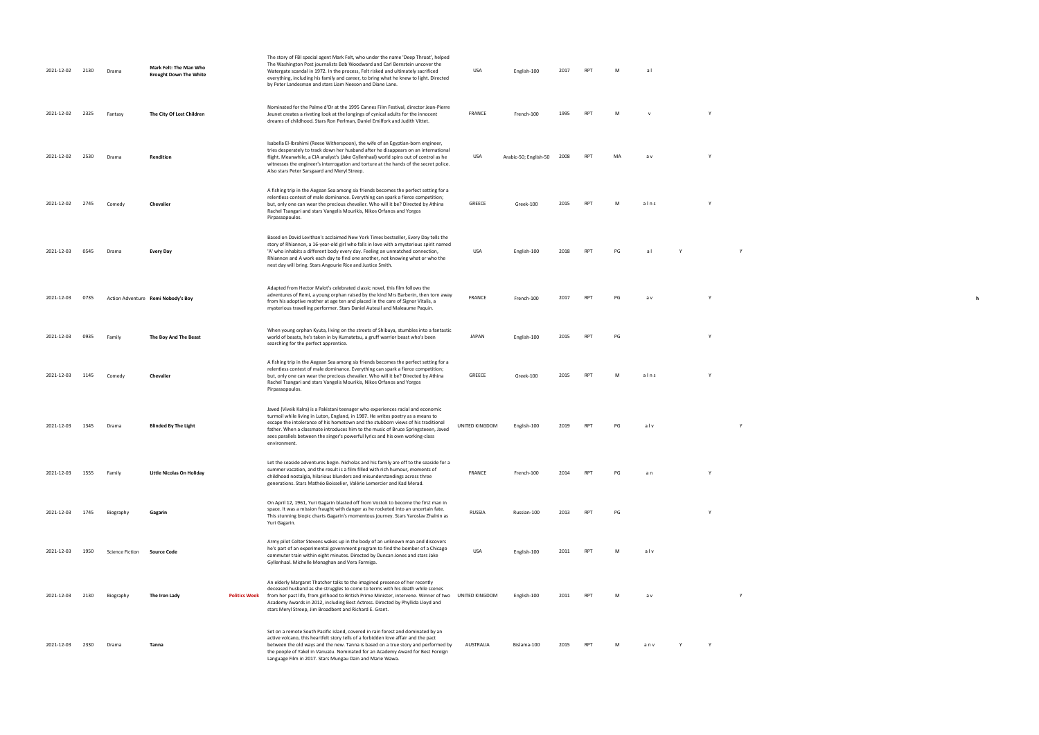| 2021-12-02 | 2130 | Drama                  | Mark Felt: The Man Who<br><b>Brought Down The White</b> | The story of FBI special agent Mark Felt, who under the name 'Deep Throat', helped<br>The Washington Post journalists Bob Woodward and Carl Bernstein uncover the<br>Watergate scandal in 1972. In the process, Felt risked and ultimately sacrificed<br>everything, including his family and career, to bring what he knew to light. Directed<br>by Peter Landesman and stars Liam Neeson and Diane Lane.                                    | USA            | English-100           | 2017 | <b>RPT</b>      | M  | al   |   |  |
|------------|------|------------------------|---------------------------------------------------------|-----------------------------------------------------------------------------------------------------------------------------------------------------------------------------------------------------------------------------------------------------------------------------------------------------------------------------------------------------------------------------------------------------------------------------------------------|----------------|-----------------------|------|-----------------|----|------|---|--|
| 2021-12-02 | 2325 | Fantasy                | The City Of Lost Children                               | Nominated for the Palme d'Or at the 1995 Cannes Film Festival, director Jean-Pierre<br>Jeunet creates a riveting look at the longings of cynical adults for the innocent<br>dreams of childhood. Stars Ron Perlman, Daniel Emilfork and Judith Vittet.                                                                                                                                                                                        | <b>FRANCE</b>  | French-100            | 1995 | <b>RPT</b>      | M  |      |   |  |
| 2021-12-02 | 2530 | Drama                  | Rendition                                               | Isabella El-Ibrahimi (Reese Witherspoon), the wife of an Egyptian-born engineer,<br>tries desperately to track down her husband after he disappears on an international<br>flight. Meanwhile, a CIA analyst's (Jake Gyllenhaal) world spins out of control as he<br>witnesses the engineer's interrogation and torture at the hands of the secret police.<br>Also stars Peter Sarsgaard and Meryl Streep.                                     | USA            | Arabic-50; English-50 | 2008 | <b>RPT</b>      | MA | a v  |   |  |
| 2021-12-02 | 2745 | Comedy                 | Chevalier                                               | A fishing trip in the Aegean Sea among six friends becomes the perfect setting for a<br>relentless contest of male dominance. Everything can spark a fierce competition;<br>but, only one can wear the precious chevalier. Who will it be? Directed by Athina<br>Rachel Tsangari and stars Vangelis Mourikis, Nikos Orfanos and Yorgos<br>Pirpassopoulos.                                                                                     | GREECE         | Greek-100             | 2015 | <b>RPT</b>      | M  | alns |   |  |
| 2021-12-03 | 0545 | Drama                  | Every Day                                               | Based on David Levithan's acclaimed New York Times bestseller, Every Day tells the<br>story of Rhiannon, a 16-year-old girl who falls in love with a mysterious spirit named<br>'A' who inhabits a different body every day. Feeling an unmatched connection,<br>Rhiannon and A work each day to find one another, not knowing what or who the<br>next day will bring. Stars Angourie Rice and Justice Smith.                                 | USA            | English-100           | 2018 | RP <sup></sup>  | PG | al   |   |  |
| 2021-12-03 | 0735 |                        | Action Adventure Remi Nobody's Boy                      | Adapted from Hector Malot's celebrated classic novel, this film follows the<br>adventures of Remi, a young orphan raised by the kind Mrs Barberin, then torn away<br>from his adoptive mother at age ten and placed in the care of Signor Vitalis, a<br>mysterious travelling performer. Stars Daniel Auteuil and Maleaume Paquin.                                                                                                            | FRANCE         | French-100            | 2017 | RP <sub>1</sub> | PG | a v  |   |  |
| 2021-12-03 | 0935 | Family                 | The Boy And The Beast                                   | When young orphan Kyuta, living on the streets of Shibuya, stumbles into a fantastic<br>world of beasts, he's taken in by Kumatetsu, a gruff warrior beast who's been<br>searching for the perfect apprentice.                                                                                                                                                                                                                                | <b>JAPAN</b>   | English-100           | 2015 | <b>RPT</b>      | PG |      |   |  |
| 2021-12-03 | 1145 | Comedy                 | Chevalier                                               | A fishing trip in the Aegean Sea among six friends becomes the perfect setting for a<br>relentless contest of male dominance. Everything can spark a fierce competition;<br>but, only one can wear the precious chevalier. Who will it be? Directed by Athina<br>Rachel Tsangari and stars Vangelis Mourikis, Nikos Orfanos and Yorgos<br>Pirpassopoulos.                                                                                     | GREECE         | Greek-100             | 2015 | <b>RP</b>       |    | alns |   |  |
| 2021-12-03 | 1345 | Drama                  | <b>Blinded By The Light</b>                             | Javed (Viveik Kalra) is a Pakistani teenager who experiences racial and economic<br>turmoil while living in Luton, England, in 1987. He writes poetry as a means to<br>escape the intolerance of his hometown and the stubborn views of his traditional<br>father. When a classmate introduces him to the music of Bruce Springsteeen, Javed<br>sees parallels between the singer's powerful lyrics and his own working-class<br>environment. | UNITED KINGDOM | English-100           | 2019 | RP.             | PG | alv  |   |  |
| 2021-12-03 | 1555 | Family                 | Little Nicolas On Holiday                               | Let the seaside adventures begin. Nicholas and his family are off to the seaside for a<br>summer vacation, and the result is a film filled with rich humour, moments of<br>childhood nostalgia, hilarious blunders and misunderstandings across three<br>generations. Stars Mathéo Boisselier, Valérie Lemercier and Kad Merad.                                                                                                               | FRANCE         | French-100            | 2014 | <b>RPT</b>      | PG | a n  | Y |  |
| 2021-12-03 | 1745 | Biography              | Gagarin                                                 | On April 12, 1961, Yuri Gagarin blasted off from Vostok to become the first man in<br>space. It was a mission fraught with danger as he rocketed into an uncertain fate.<br>This stunning biopic charts Gagarin's momentous journey. Stars Yaroslav Zhalnin as<br>Yuri Gagarin.                                                                                                                                                               | <b>RUSSIA</b>  | Russian-100           | 2013 | RPT             | PG |      | Y |  |
| 2021-12-03 | 1950 | <b>Science Fiction</b> | <b>Source Code</b>                                      | Army pilot Colter Stevens wakes up in the body of an unknown man and discovers<br>he's part of an experimental government program to find the bomber of a Chicago<br>commuter train within eight minutes. Directed by Duncan Jones and stars Jake<br>Gyllenhaal. Michelle Monaghan and Vera Farmiga.                                                                                                                                          | USA            | English-100           | 2011 | RP.             | NЛ | alv  |   |  |
| 2021-12-03 | 2130 | Biography              | The Iron Lady                                           | An elderly Margaret Thatcher talks to the imagined presence of her recently<br>deceased husband as she struggles to come to terms with his death while scenes<br>Politics Week from her past life, from girlhood to British Prime Minister, intervene. Winner of two<br>Academy Awards in 2012, including Best Actress. Directed by Phyllida Lloyd and<br>stars Meryl Streep, Jim Broadbent and Richard E. Grant.                             | UNITED KINGDOM | English-100           | 2011 | <b>RPT</b>      | M  | a v  |   |  |
| 2021-12-03 | 2330 | Drama                  | Tanna                                                   | Set on a remote South Pacific island, covered in rain forest and dominated by an<br>active volcano, this heartfelt story tells of a forbidden love affair and the pact<br>between the old ways and the new. Tanna is based on a true story and performed by<br>the people of Yakel in Vanuatu. Nominated for an Academy Award for Best Foreign<br>Language Film in 2017. Stars Mungau Dain and Marie Wawa.                                    | AUSTRALIA      | Bislama-100           | 2015 | <b>RPT</b>      | M  | anv  |   |  |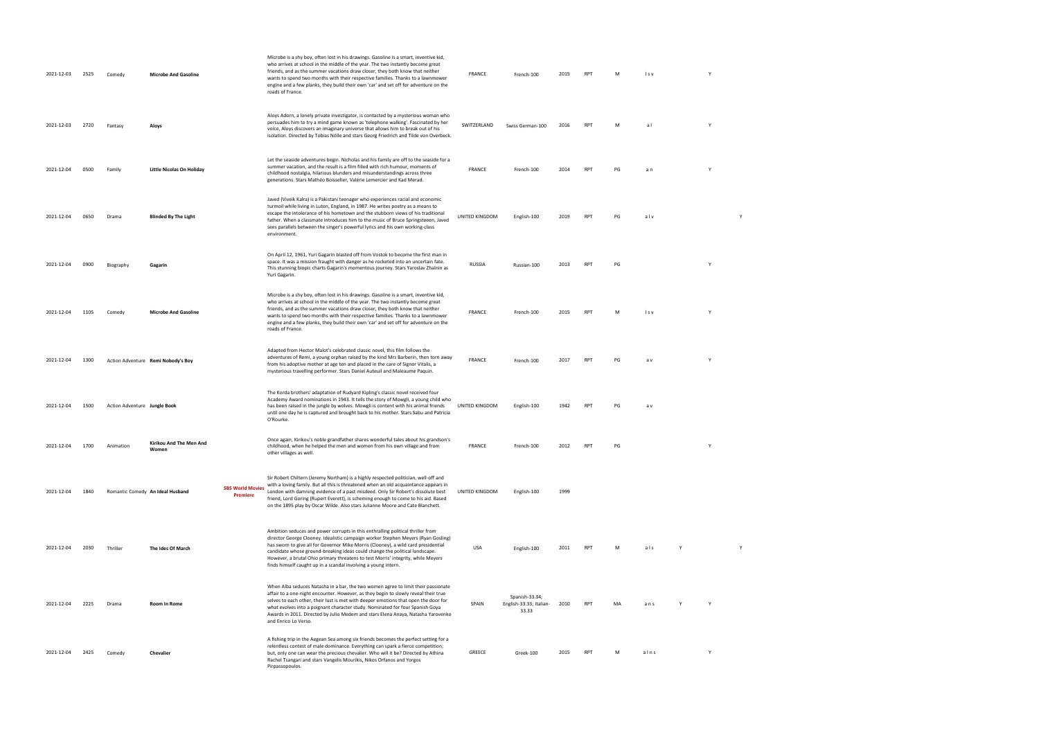| 2021-12-03                | 2525 | Comedy                       | <b>Microbe And Gasoline</b>        |                                            | Microbe is a shy boy, often lost in his drawings. Gasoline is a smart, inventive kid,<br>who arrives at school in the middle of the year. The two instantly become great<br>friends, and as the summer vacations draw closer, they both know that neither<br>wants to spend two months with their respective families. Thanks to a lawnmower<br>engine and a few planks, they build their own 'car' and set off for adventure on the<br>roads of France.                                        | FRANCE         | French-100                                         | 2015 | <b>RPT</b> | M  | Is v |   |   |  |  |
|---------------------------|------|------------------------------|------------------------------------|--------------------------------------------|-------------------------------------------------------------------------------------------------------------------------------------------------------------------------------------------------------------------------------------------------------------------------------------------------------------------------------------------------------------------------------------------------------------------------------------------------------------------------------------------------|----------------|----------------------------------------------------|------|------------|----|------|---|---|--|--|
| 2021-12-03                | 2720 | Fantasy                      | Aloys                              |                                            | Aloys Adorn, a lonely private investigator, is contacted by a mysterious woman who<br>persuades him to try a mind game known as 'telephone walking'. Fascinated by her<br>voice, Aloys discovers an imaginary universe that allows him to break out of his<br>isolation. Directed by Tobias Nölle and stars Georg Friedrich and Tilde von Overbeck.                                                                                                                                             | SWITZERLAND    | Swiss German-100                                   | 2016 | <b>RPT</b> | M  | al   | Y |   |  |  |
| 2021-12-04                | 0500 | Family                       | <b>Little Nicolas On Holiday</b>   |                                            | Let the seaside adventures begin. Nicholas and his family are off to the seaside for a<br>summer vacation, and the result is a film filled with rich humour, moments of<br>childhood nostalgia, hilarious blunders and misunderstandings across three<br>generations. Stars Mathéo Boisselier, Valérie Lemercier and Kad Merad.                                                                                                                                                                 | FRANCE         | French-100                                         | 2014 | <b>RPT</b> | PG | a n  | Y |   |  |  |
| 2021-12-04                | 0650 | Drama                        | <b>Blinded By The Light</b>        |                                            | Javed (Viveik Kalra) is a Pakistani teenager who experiences racial and economic<br>turmoil while living in Luton, England, in 1987. He writes poetry as a means to<br>escape the intolerance of his hometown and the stubborn views of his traditional<br>father. When a classmate introduces him to the music of Bruce Springsteeen, Javed<br>sees parallels between the singer's powerful lyrics and his own working-class<br>environment.                                                   | UNITED KINGDOM | English-100                                        | 2019 | <b>RPT</b> | PG | alv  |   | Y |  |  |
| 2021-12-04                | 0900 | Biography                    | Gagarin                            |                                            | On April 12, 1961, Yuri Gagarin blasted off from Vostok to become the first man in<br>space. It was a mission fraught with danger as he rocketed into an uncertain fate.<br>This stunning biopic charts Gagarin's momentous journey. Stars Yaroslav Zhalnin as<br>Yuri Gagarin.                                                                                                                                                                                                                 | RUSSIA         | Russian-100                                        | 2013 | <b>RPT</b> | PG |      | Y |   |  |  |
| 2021-12-04                | 1105 | Comedy                       | <b>Microbe And Gasoline</b>        |                                            | Microbe is a shy boy, often lost in his drawings. Gasoline is a smart, inventive kid,<br>who arrives at school in the middle of the year. The two instantly become great<br>friends, and as the summer vacations draw closer, they both know that neither<br>wants to spend two months with their respective families. Thanks to a lawnmower<br>engine and a few planks, they build their own 'car' and set off for adventure on the<br>roads of France.                                        | FRANCE         | French-100                                         | 2015 | <b>RPT</b> | M  | Is v | Y |   |  |  |
| 2021-12-04                | 1300 |                              | Action Adventure Remi Nobody's Boy |                                            | Adapted from Hector Malot's celebrated classic novel, this film follows the<br>adventures of Remi, a young orphan raised by the kind Mrs Barberin, then torn away<br>from his adoptive mother at age ten and placed in the care of Signor Vitalis, a<br>mysterious travelling performer. Stars Daniel Auteuil and Maleaume Paquin.                                                                                                                                                              | FRANCE         | French-100                                         | 2017 | <b>RPT</b> | PG | a v  | Y |   |  |  |
| 2021-12-04                | 1500 | Action Adventure Jungle Book |                                    |                                            | The Korda brothers' adaptation of Rudyard Kipling's classic novel received four<br>Academy Award nominations in 1943. It tells the story of Mowgli, a young child who<br>has been raised in the jungle by wolves. Mowgli is content with his animal friends<br>until one day he is captured and brought back to his mother. Stars Sabu and Patricia<br>O'Rourke.                                                                                                                                | UNITED KINGDOM | English-100                                        | 1942 | <b>RPT</b> | PG | a v  |   |   |  |  |
| 2021-12-04 1700 Animation |      |                              | Kirikou And The Men And<br>Women   |                                            | Once again, Kirikou's noble grandfather shares wonderful tales about his grandson's<br>childhood, when he helped the men and women from his own village and from<br>other villages as well.                                                                                                                                                                                                                                                                                                     | FRANCE         | French-100                                         | 2012 | <b>RPT</b> | PG |      |   |   |  |  |
| 2021-12-04                | 1840 |                              | Romantic Comedy An Ideal Husband   | <b>SBS World Movies</b><br><b>Premiere</b> | Sir Robert Chiltern (Jeremy Northam) is a highly respected politician, well-off and<br>with a loving family. But all this is threatened when an old acquaintance appears in<br>London with damning evidence of a past misdeed. Only Sir Robert's dissolute best<br>friend, Lord Goring (Rupert Everett), is scheming enough to come to his aid. Based<br>on the 1895 play by Oscar Wilde. Also stars Julianne Moore and Cate Blanchett.                                                         | UNITED KINGDOM | English-100                                        | 1999 |            |    |      |   |   |  |  |
| 2021-12-04                | 2030 | Thriller                     | The Ides Of March                  |                                            | Ambition seduces and power corrupts in this enthralling political thriller from<br>director George Clooney. Idealistic campaign worker Stephen Meyers (Ryan Gosling)<br>has sworn to give all for Governor Mike Morris (Clooney), a wild card presidential<br>candidate whose ground-breaking ideas could change the political landscape.<br>However, a brutal Ohio primary threatens to test Morris' integrity, while Meyers<br>finds himself caught up in a scandal involving a young intern. | <b>USA</b>     | English-100                                        | 2011 | <b>RPT</b> | M  | als  |   |   |  |  |
| 2021-12-04                | 2225 | Drama                        | Room In Rome                       |                                            | When Alba seduces Natasha in a bar, the two women agree to limit their passionate<br>affair to a one-night encounter. However, as they begin to slowly reveal their true<br>selves to each other, their lust is met with deeper emotions that open the door for<br>what evolves into a poignant character study. Nominated for four Spanish Goya<br>Awards in 2011. Directed by Julio Medem and stars Elena Anaya, Natasha Yarovenko<br>and Enrico Lo Verso.                                    | SPAIN          | Spanish-33.34;<br>English-33.33; Italian-<br>33.33 | 2010 | <b>RPT</b> | MA | ans  | Y |   |  |  |
| 2021-12-04                | 2425 | Comedy                       | Chevalier                          |                                            | A fishing trip in the Aegean Sea among six friends becomes the perfect setting for a<br>relentless contest of male dominance. Everything can spark a fierce competition;<br>but, only one can wear the precious chevalier. Who will it be? Directed by Athina<br>Rachel Tsangari and stars Vangelis Mourikis, Nikos Orfanos and Yorgos<br>Pirpassopoulos.                                                                                                                                       | GREECE         | Greek-100                                          | 2015 | <b>RPT</b> | M  | alns | Y |   |  |  |